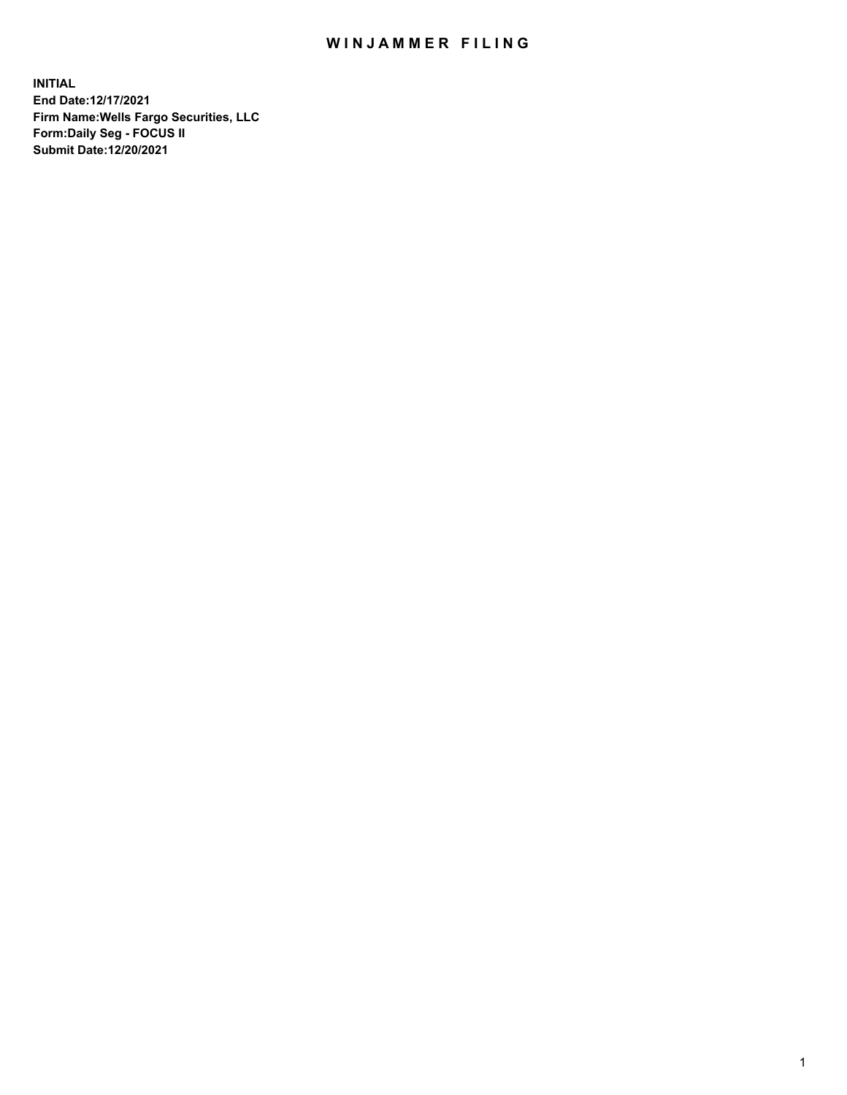## WIN JAMMER FILING

**INITIAL End Date:12/17/2021 Firm Name:Wells Fargo Securities, LLC Form:Daily Seg - FOCUS II Submit Date:12/20/2021**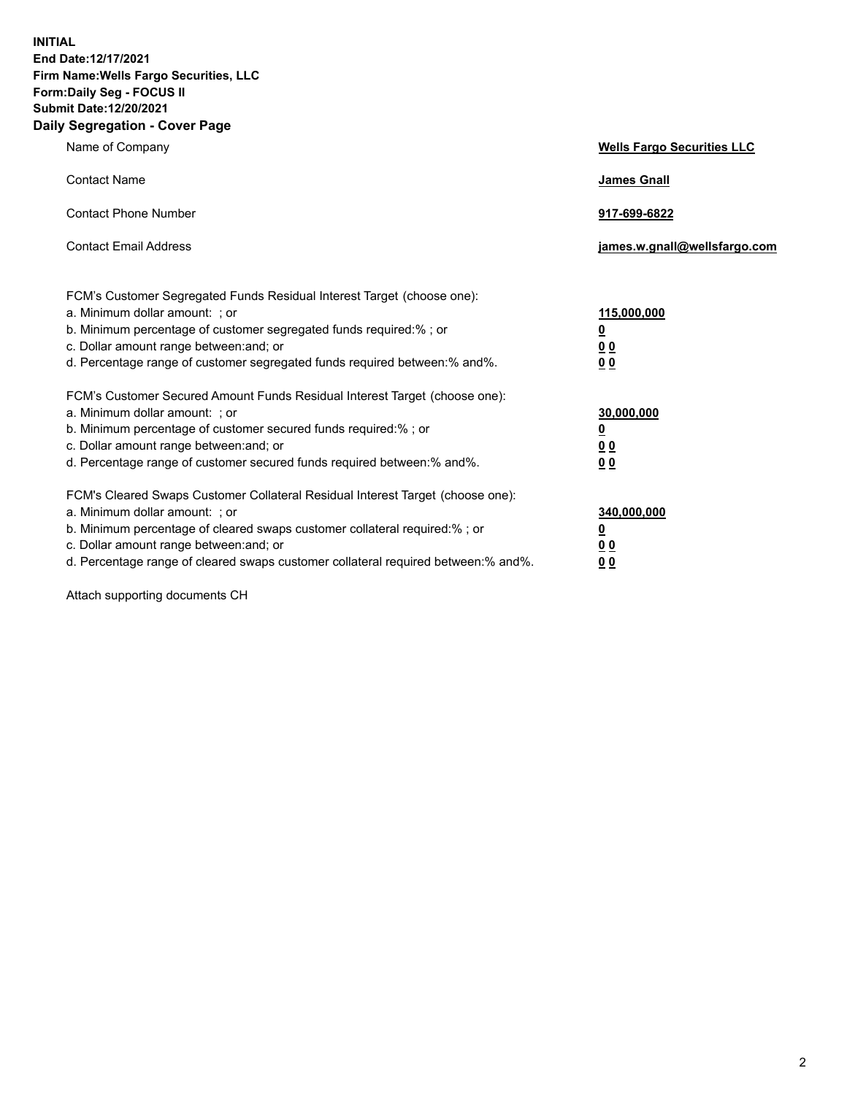**INITIAL End Date:12/17/2021 Firm Name:Wells Fargo Securities, LLC Form:Daily Seg - FOCUS II Submit Date:12/20/2021 Daily Segregation - Cover Page**

| Name of Company                                                                                                                                                                                                                                                                                                                | <b>Wells Fargo Securities LLC</b>                          |
|--------------------------------------------------------------------------------------------------------------------------------------------------------------------------------------------------------------------------------------------------------------------------------------------------------------------------------|------------------------------------------------------------|
| <b>Contact Name</b>                                                                                                                                                                                                                                                                                                            | <b>James Gnall</b>                                         |
| <b>Contact Phone Number</b>                                                                                                                                                                                                                                                                                                    | 917-699-6822                                               |
| <b>Contact Email Address</b>                                                                                                                                                                                                                                                                                                   | james.w.gnall@wellsfargo.com                               |
| FCM's Customer Segregated Funds Residual Interest Target (choose one):<br>a. Minimum dollar amount: ; or<br>b. Minimum percentage of customer segregated funds required:% ; or<br>c. Dollar amount range between: and; or<br>d. Percentage range of customer segregated funds required between:% and%.                         | 115,000,000<br><u>0</u><br>0 <sub>0</sub><br>00            |
| FCM's Customer Secured Amount Funds Residual Interest Target (choose one):<br>a. Minimum dollar amount: ; or<br>b. Minimum percentage of customer secured funds required:%; or<br>c. Dollar amount range between: and; or<br>d. Percentage range of customer secured funds required between:% and%.                            | 30,000,000<br><u>0</u><br>0 <sub>0</sub><br>0 <sub>0</sub> |
| FCM's Cleared Swaps Customer Collateral Residual Interest Target (choose one):<br>a. Minimum dollar amount: ; or<br>b. Minimum percentage of cleared swaps customer collateral required:% ; or<br>c. Dollar amount range between: and; or<br>d. Percentage range of cleared swaps customer collateral required between:% and%. | 340,000,000<br><u>0</u><br>00<br>00                        |

Attach supporting documents CH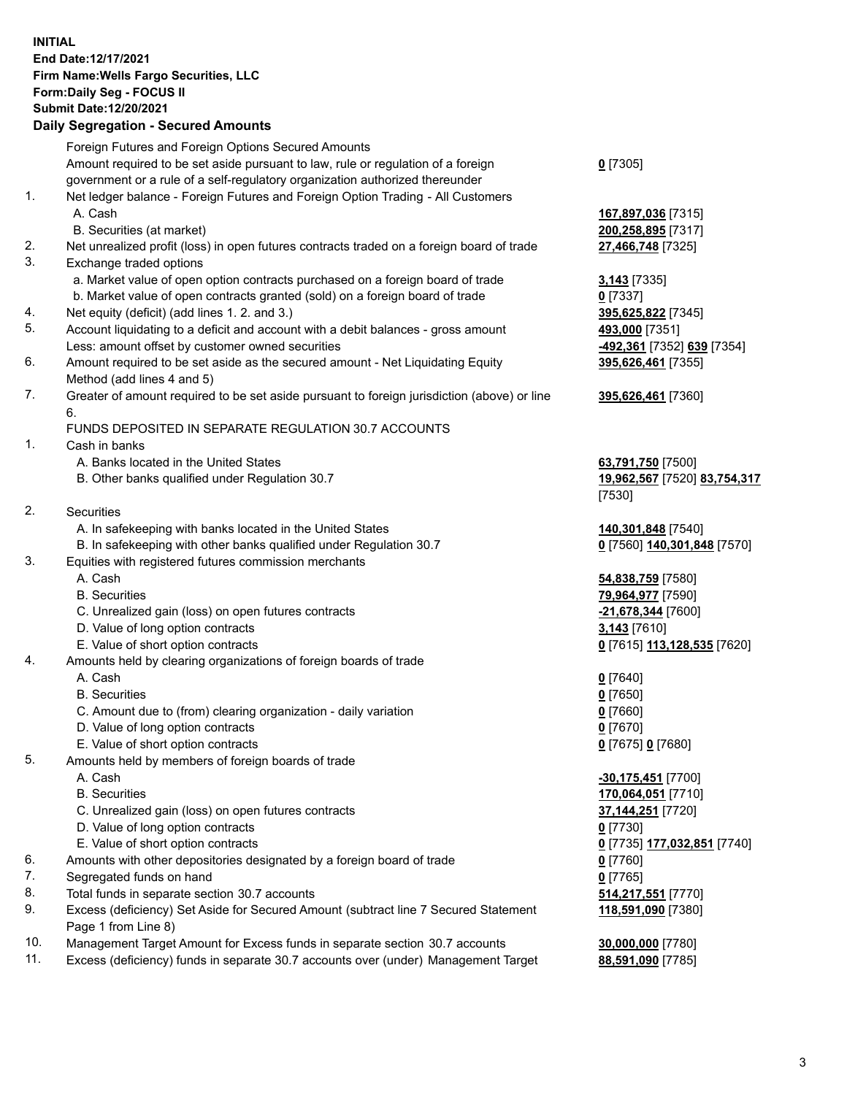**INITIAL End Date:12/17/2021 Firm Name:Wells Fargo Securities, LLC Form:Daily Seg - FOCUS II Submit Date:12/20/2021**

## **Daily Segregation - Secured Amounts**

|     | Foreign Futures and Foreign Options Secured Amounts                                         |                              |
|-----|---------------------------------------------------------------------------------------------|------------------------------|
|     | Amount required to be set aside pursuant to law, rule or regulation of a foreign            | $0$ [7305]                   |
|     | government or a rule of a self-regulatory organization authorized thereunder                |                              |
| 1.  | Net ledger balance - Foreign Futures and Foreign Option Trading - All Customers             |                              |
|     | A. Cash                                                                                     | 167,897,036 [7315]           |
|     | B. Securities (at market)                                                                   | 200,258,895 [7317]           |
| 2.  | Net unrealized profit (loss) in open futures contracts traded on a foreign board of trade   | 27,466,748 [7325]            |
| 3.  | Exchange traded options                                                                     |                              |
|     | a. Market value of open option contracts purchased on a foreign board of trade              | 3,143 [7335]                 |
|     | b. Market value of open contracts granted (sold) on a foreign board of trade                | $0$ [7337]                   |
| 4.  | Net equity (deficit) (add lines 1. 2. and 3.)                                               | 395,625,822 [7345]           |
| 5.  | Account liquidating to a deficit and account with a debit balances - gross amount           | 493,000 [7351]               |
|     | Less: amount offset by customer owned securities                                            | -492,361 [7352] 639 [7354]   |
| 6.  | Amount required to be set aside as the secured amount - Net Liquidating Equity              | 395,626,461 [7355]           |
|     | Method (add lines 4 and 5)                                                                  |                              |
| 7.  | Greater of amount required to be set aside pursuant to foreign jurisdiction (above) or line | 395,626,461 [7360]           |
|     | 6.                                                                                          |                              |
|     | FUNDS DEPOSITED IN SEPARATE REGULATION 30.7 ACCOUNTS                                        |                              |
| 1.  | Cash in banks                                                                               |                              |
|     | A. Banks located in the United States                                                       | 63,791,750 [7500]            |
|     | B. Other banks qualified under Regulation 30.7                                              | 19,962,567 [7520] 83,754,317 |
|     |                                                                                             | [7530]                       |
| 2.  | Securities                                                                                  |                              |
|     | A. In safekeeping with banks located in the United States                                   | 140,301,848 [7540]           |
|     | B. In safekeeping with other banks qualified under Regulation 30.7                          | 0 [7560] 140,301,848 [7570]  |
| 3.  | Equities with registered futures commission merchants                                       |                              |
|     | A. Cash                                                                                     | 54,838,759 [7580]            |
|     | <b>B.</b> Securities                                                                        | 79,964,977 [7590]            |
|     | C. Unrealized gain (loss) on open futures contracts                                         | -21,678,344 [7600]           |
|     | D. Value of long option contracts                                                           | 3,143 [7610]                 |
|     | E. Value of short option contracts                                                          | 0 [7615] 113,128,535 [7620]  |
| 4.  | Amounts held by clearing organizations of foreign boards of trade                           |                              |
|     | A. Cash                                                                                     | $0$ [7640]                   |
|     | <b>B.</b> Securities                                                                        | $0$ [7650]                   |
|     | C. Amount due to (from) clearing organization - daily variation                             | $0$ [7660]                   |
|     | D. Value of long option contracts                                                           | $0$ [7670]                   |
|     | E. Value of short option contracts                                                          | 0 [7675] 0 [7680]            |
| 5.  | Amounts held by members of foreign boards of trade                                          |                              |
|     | A. Cash                                                                                     | -30,175,451 [7700]           |
|     | <b>B.</b> Securities                                                                        | 170,064,051 [7710]           |
|     | C. Unrealized gain (loss) on open futures contracts                                         | <b>37,144,251</b> [7720]     |
|     | D. Value of long option contracts                                                           | $0$ [7730]                   |
|     | E. Value of short option contracts                                                          | 0 [7735] 177,032,851 [7740]  |
| 6.  | Amounts with other depositories designated by a foreign board of trade                      | $0$ [7760]                   |
| 7.  | Segregated funds on hand                                                                    | $0$ [7765]                   |
| 8.  | Total funds in separate section 30.7 accounts                                               | 514,217,551 [7770]           |
| 9.  | Excess (deficiency) Set Aside for Secured Amount (subtract line 7 Secured Statement         | 118,591,090 [7380]           |
|     | Page 1 from Line 8)                                                                         |                              |
| 10. | Management Target Amount for Excess funds in separate section 30.7 accounts                 | 30,000,000 [7780]            |

11. Excess (deficiency) funds in separate 30.7 accounts over (under) Management Target **88,591,090** [7785]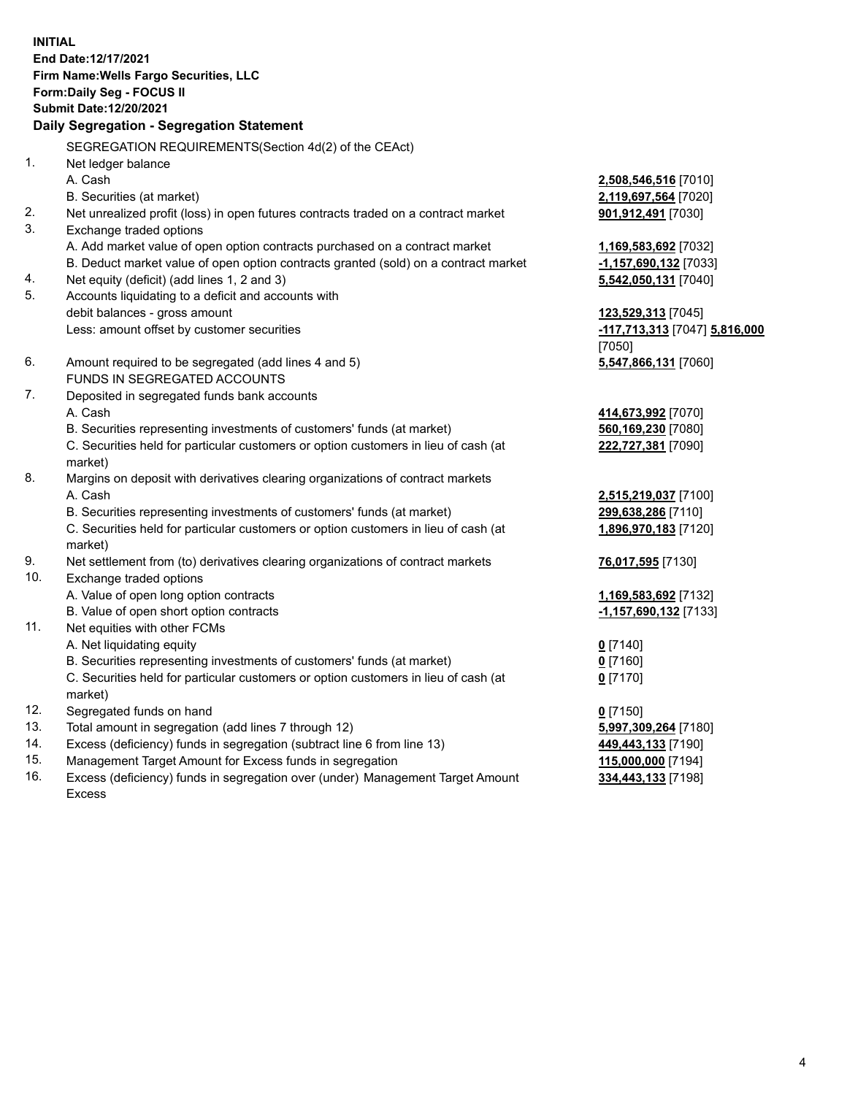**INITIAL End Date:12/17/2021 Firm Name:Wells Fargo Securities, LLC Form:Daily Seg - FOCUS II Submit Date:12/20/2021 Daily Segregation - Segregation Statement** SEGREGATION REQUIREMENTS(Section 4d(2) of the CEAct) 1. Net ledger balance A. Cash **2,508,546,516** [7010] B. Securities (at market) **2,119,697,564** [7020] 2. Net unrealized profit (loss) in open futures contracts traded on a contract market **901,912,491** [7030] 3. Exchange traded options A. Add market value of open option contracts purchased on a contract market **1,169,583,692** [7032] B. Deduct market value of open option contracts granted (sold) on a contract market **-1,157,690,132** [7033] 4. Net equity (deficit) (add lines 1, 2 and 3) **5,542,050,131** [7040] 5. Accounts liquidating to a deficit and accounts with debit balances - gross amount **123,529,313** [7045] Less: amount offset by customer securities **-117,713,313** [7047] **5,816,000** [7050]

- 6. Amount required to be segregated (add lines 4 and 5) **5,547,866,131** [7060] FUNDS IN SEGREGATED ACCOUNTS
- 7. Deposited in segregated funds bank accounts A. Cash **414,673,992** [7070]
	- B. Securities representing investments of customers' funds (at market)

C. Securities held for particular customers or option customers in lieu of cash (at market)

- 8. Margins on deposit with derivatives clearing organizations of contract markets A. Cash **2,515,219,037** [7100]
	- B. Securities representing investments of customers' funds (at market) **299,638,286** [7110]

C. Securities held for particular customers or option customers in lieu of cash (at market)

- 9. Net settlement from (to) derivatives clearing organizations of contract markets **76,017,595** [7130]
- 10. Exchange traded options A. Value of open long option contracts **1,169,583,692** [7132]
	- B. Value of open short option contracts **-1,157,690,132** [7133]
- 11. Net equities with other FCMs
	- A. Net liquidating equity **0** [7140]
	- B. Securities representing investments of customers' funds (at market) **0** [7160]
	- C. Securities held for particular customers or option customers in lieu of cash (at market)
- 12. Segregated funds on hand **0** [7150]
- 13. Total amount in segregation (add lines 7 through 12) **5,997,309,264** [7180]
- 14. Excess (deficiency) funds in segregation (subtract line 6 from line 13) **449,443,133** [7190]
- 15. Management Target Amount for Excess funds in segregation **115,000,000** [7194]
- 16. Excess (deficiency) funds in segregation over (under) Management Target Amount Excess

| <mark>414,673,992</mark> [7070] |  |
|---------------------------------|--|
| 560,169,230 [7080]              |  |
| <u>222,727,381</u> [7090]       |  |
|                                 |  |
|                                 |  |

**1,896,970,183** [7120]

**0** [7170]

**334,443,133** [7198]